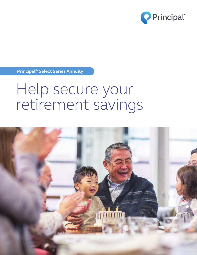

**Principal® Select Series Annuity**

# Help secure your retirement savings

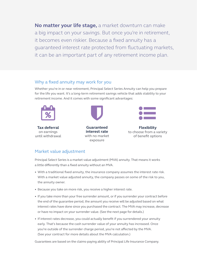**No matter your life stage,** a market downturn can make a big impact on your savings. But once you're in retirement, it becomes even riskier. Because a fixed annuity has a guaranteed interest rate protected from fluctuating markets, it can be an important part of any retirement income plan.

#### Why a fixed annuity may work for you

Whether you're in or near retirement, Principal Select Series Annuity can help you prepare for the life you want. It's a long-term retirement savings vehicle that adds stability to your retirement income. And it comes with some significant advantages:



**Tax deferral** on earnings until withdrawal



**Guaranteed interest rate** with no market exposure



**Flexibility** to choose from a variety of benefit options

## Market value adjustment

Principal Select Series is a market value adjustment (MVA) annuity. That means it works a little differently than a fixed annuity without an MVA.

- With a traditional fixed annuity, the insurance company assumes the interest rate risk. With a market value adjusted annuity, the company passes on some of the risk to you, the annuity owner.
- Because you take on more risk, you receive a higher interest rate.
- If you take more than your free surrender amount, or if you surrender your contract before the end of the guarantee period, the amount you receive will be adjusted based on what interest rates have done since you purchased the contract. The MVA may increase, decrease or have no impact on your surrender value. (See the next page for details.)
- If interest rates decrease, you could actually benefit if you surrendered your annuity early. That's because the cash surrender value of your annuity has increased. Once you're outside of the surrender charge period, you're not affected by the MVA. (See your contract for more details about the MVA calculation.)

Guarantees are based on the claims-paying ability of Principal Life Insurance Company.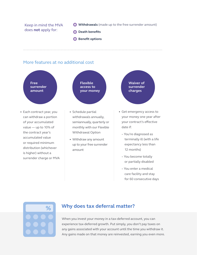Keep in mind the MVA does **not** apply for:

- **Withdrawals** (made up to the free surrender amount)
- **B** Death benefits
- **Benefit options**

#### More features at no additional cost



• Withdraw any amount up to your free surrender

amount

- You're diagnosed as terminally ill (with a life expectancy less than 12 months)
- You become totally or partially disabled
- You enter a medical care facility and stay for 60 consecutive days



accumulated value or required minimum distribution (whichever is higher) without a

surrender charge or MVA

## **Why does tax deferral matter?**

When you invest your money in a tax-deferred account, you can experience tax-deferred growth. Put simply, you don't pay taxes on any gains associated with your account until the time you withdraw it. Any gains made on that money are reinvested, earning you even more.